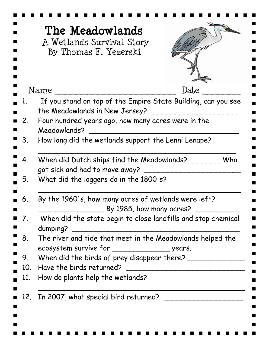|             | The Meadowlands<br>A Wetlands Survival Story<br>By Thomas F. Yezerski                                  |      |
|-------------|--------------------------------------------------------------------------------------------------------|------|
|             | Name                                                                                                   | Date |
|             | If you stand on top of the Empire State Building, can you see<br>the Meadowlands in New Jersey?        |      |
| $2_{\cdot}$ | Four hundred years ago, how many acres were in the<br>Meadowlands?                                     |      |
| 3.          | How long did the wetlands support the Lenni Lenape?                                                    |      |
| 4.          | When did Dutch ships find the Meadowlands?<br>Who<br>got sick and had to move away? ___                |      |
| 5.          | What did the loggers do in the 1800's?                                                                 |      |
| 6.          | By the 1960's, how many acres of wetlands were left?<br>$\_$ By 1985, how many acres?                  |      |
| 7.          | When did the state begin to close landfills and stop chemical<br>dumping?                              |      |
| 8.          | The river and tide that meet in the Meadowlands helped the                                             |      |
| 9.          | ecosystem survive for __________________________ years.<br>When did the birds of prey disappear there? |      |
| 10.         | Have the birds returned?                                                                               |      |
| 11.         | How do plants help the wetlands?                                                                       |      |
| 12.         | In 2007, what special bird returned?                                                                   |      |